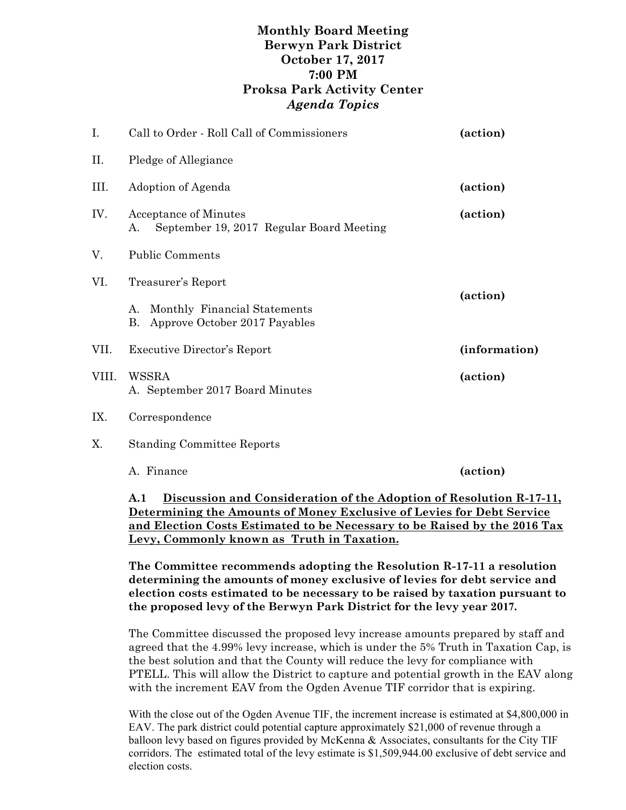## **Monthly Board Meeting Berwyn Park District October 17, 2017 7:00 PM Proksa Park Activity Center** *Agenda Topics*

| I.    | Call to Order - Roll Call of Commissioners                                 | (action)      |  |
|-------|----------------------------------------------------------------------------|---------------|--|
| П.    | Pledge of Allegiance                                                       |               |  |
| Ш.    | Adoption of Agenda                                                         | (action)      |  |
| IV.   | Acceptance of Minutes<br>September 19, 2017 Regular Board Meeting<br>А.    | (action)      |  |
| V.    | <b>Public Comments</b>                                                     |               |  |
| VI.   | Treasurer's Report                                                         |               |  |
|       | Monthly Financial Statements<br>А.<br>Β.<br>Approve October 2017 Payables  | (action)      |  |
| VII.  | <b>Executive Director's Report</b>                                         | (information) |  |
| VIII. | WSSRA<br>A. September 2017 Board Minutes                                   | (action)      |  |
| IX.   | Correspondence                                                             |               |  |
| Χ.    | <b>Standing Committee Reports</b>                                          |               |  |
|       | A. Finance                                                                 | (action)      |  |
|       | A.1<br>Discussion and Consideration of the Adoption of Resolution R-17-11, |               |  |

**Determining the Amounts of Money Exclusive of Levies for Debt Service and Election Costs Estimated to be Necessary to be Raised by the 2016 Tax Levy, Commonly known as Truth in Taxation.**

**The Committee recommends adopting the Resolution R-17-11 a resolution determining the amounts of money exclusive of levies for debt service and election costs estimated to be necessary to be raised by taxation pursuant to the proposed levy of the Berwyn Park District for the levy year 2017.**

The Committee discussed the proposed levy increase amounts prepared by staff and agreed that the 4.99% levy increase, which is under the 5% Truth in Taxation Cap, is the best solution and that the County will reduce the levy for compliance with PTELL. This will allow the District to capture and potential growth in the EAV along with the increment EAV from the Ogden Avenue TIF corridor that is expiring.

With the close out of the Ogden Avenue TIF, the increment increase is estimated at \$4,800,000 in EAV. The park district could potential capture approximately \$21,000 of revenue through a balloon levy based on figures provided by McKenna & Associates, consultants for the City TIF corridors. The estimated total of the levy estimate is \$1,509,944.00 exclusive of debt service and election costs.